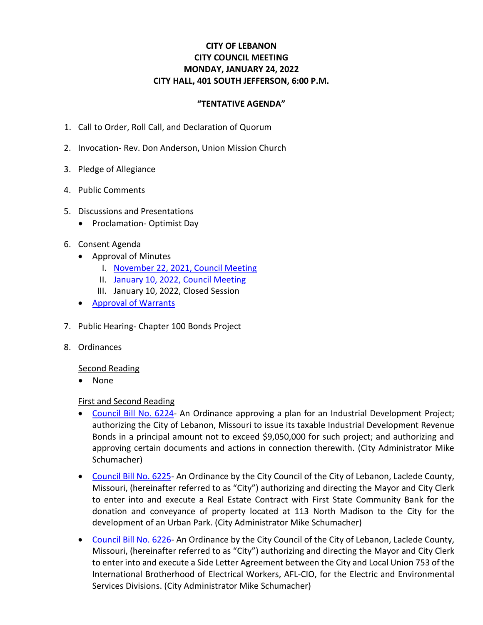# **CITY OF LEBANON CITY COUNCIL MEETING MONDAY, JANUARY 24, 2022 CITY HALL, 401 SOUTH JEFFERSON, 6:00 P.M.**

### **"TENTATIVE AGENDA"**

- 1. Call to Order, Roll Call, and Declaration of Quorum
- 2. Invocation- Rev. Don Anderson, Union Mission Church
- 3. Pledge of Allegiance
- 4. Public Comments
- 5. Discussions and Presentations
	- Proclamation- Optimist Day
- 6. Consent Agenda
	- Approval of Minutes
		- I. [November 22, 2021, Council Meeting](https://www.lebanonmissouri.org/DocumentCenter/View/35795/11-22-21-Minutes)
		- II. [January 10, 2022, Council Meeting](https://www.lebanonmissouri.org/DocumentCenter/View/35814/01-10-22-Minutes)
		- III. January 10, 2022, Closed Session
	- [Approval of Warrants](https://www.lebanonmissouri.org/DocumentCenter/View/35796/Warrants)
- 7. Public Hearing- Chapter 100 Bonds Project
- 8. Ordinances

#### Second Reading

• None

#### First and Second Reading

- [Council Bill No. 6224-](https://www.lebanonmissouri.org/DocumentCenter/View/35797/Council-Bill-No-6224--Ice-Cream-Factory-Chapter-100-Bonds-Project) An Ordinance approving a plan for an Industrial Development Project; authorizing the City of Lebanon, Missouri to issue its taxable Industrial Development Revenue Bonds in a principal amount not to exceed \$9,050,000 for such project; and authorizing and approving certain documents and actions in connection therewith. (City Administrator Mike Schumacher)
- [Council Bill No. 6225-](https://www.lebanonmissouri.org/DocumentCenter/View/35798/Council-Bill-No-6225--Property-Donation-and-Conveyance-to-City-113-N-Madison-First-State-Community-Bank) An Ordinance by the City Council of the City of Lebanon, Laclede County, Missouri, (hereinafter referred to as "City") authorizing and directing the Mayor and City Clerk to enter into and execute a Real Estate Contract with First State Community Bank for the donation and conveyance of property located at 113 North Madison to the City for the development of an Urban Park. (City Administrator Mike Schumacher)
- [Council Bill No. 6226-](https://www.lebanonmissouri.org/DocumentCenter/View/35799/Council-Bill-No-6226--Side-Letter-Agreement-Local-Union-753-IBEW-for-Electric-and-Environmental) An Ordinance by the City Council of the City of Lebanon, Laclede County, Missouri, (hereinafter referred to as "City") authorizing and directing the Mayor and City Clerk to enter into and execute a Side Letter Agreement between the City and Local Union 753 of the International Brotherhood of Electrical Workers, AFL-CIO, for the Electric and Environmental Services Divisions. (City Administrator Mike Schumacher)